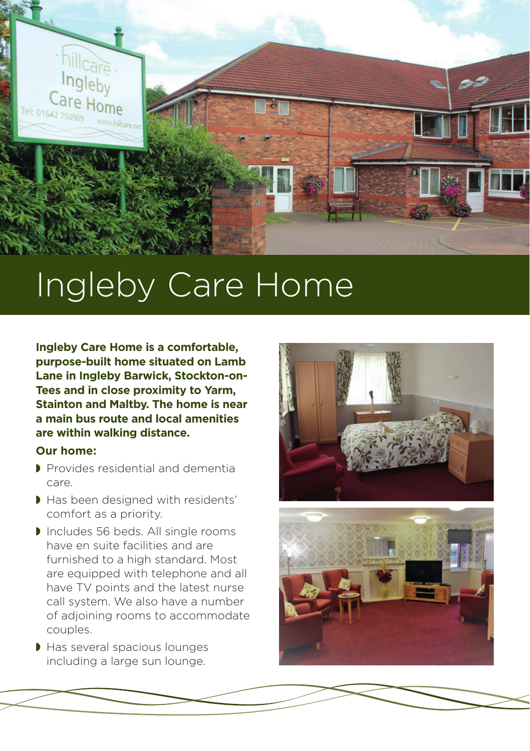

## Ingleby Care Home

**Ingleby Care Home is a comfortable, purpose-built home situated on Lamb Lane in Ingleby Barwick, Stockton-on-Tees and in close proximity to Yarm, Stainton and Maltby. The home is near a main bus route and local amenities are within walking distance.** 

## **Our home:**

- $\blacktriangleright$  Provides residential and demential care.
- $\blacktriangleright$  Has been designed with residents' comfort as a priority.
- Includes 56 beds. All single rooms have en suite facilities and are furnished to a high standard. Most are equipped with telephone and all have TV points and the latest nurse call system. We also have a number of adjoining rooms to accommodate couples.
- $\blacktriangleright$  Has several spacious lounges including a large sun lounge.